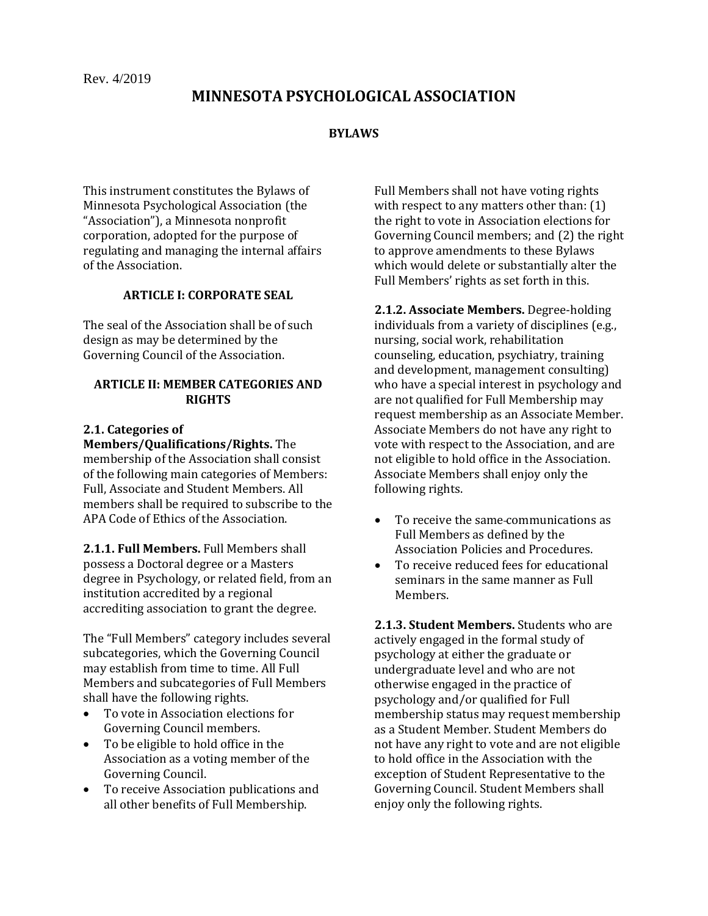# **MINNESOTA PSYCHOLOGICAL ASSOCIATION**

#### **BYLAWS**

This instrument constitutes the Bylaws of Minnesota Psychological Association (the "Association"), a Minnesota nonprofit corporation, adopted for the purpose of regulating and managing the internal affairs of the Association.

### **ARTICLE I: CORPORATE SEAL**

The seal of the Association shall be of such design as may be determined by the Governing Council of the Association.

### **ARTICLE II: MEMBER CATEGORIES AND RIGHTS**

#### **2.1. Categories of**

**Members/Qualifications/Rights.** The membership of the Association shall consist of the following main categories of Members: Full, Associate and Student Members. All members shall be required to subscribe to the APA Code of Ethics of the Association.

**2.1.1. Full Members.** Full Members shall possess a Doctoral degree or a Masters degree in Psychology, or related field, from an institution accredited by a regional accrediting association to grant the degree.

The "Full Members" category includes several subcategories, which the Governing Council may establish from time to time. All Full Members and subcategories of Full Members shall have the following rights.

- To vote in Association elections for Governing Council members.
- To be eligible to hold office in the Association as a voting member of the Governing Council.
- To receive Association publications and all other benefits of Full Membership.

Full Members shall not have voting rights with respect to any matters other than: (1) the right to vote in Association elections for Governing Council members; and (2) the right to approve amendments to these Bylaws which would delete or substantially alter the Full Members' rights as set forth in this.

**2.1.2. Associate Members.** Degree-holding individuals from a variety of disciplines (e.g., nursing, social work, rehabilitation counseling, education, psychiatry, training and development, management consulting) who have a special interest in psychology and are not qualified for Full Membership may request membership as an Associate Member. Associate Members do not have any right to vote with respect to the Association, and are not eligible to hold office in the Association. Associate Members shall enjoy only the following rights.

- To receive the same communications as Full Members as defined by the Association Policies and Procedures.
- To receive reduced fees for educational seminars in the same manner as Full Members.

**2.1.3. Student Members.** Students who are actively engaged in the formal study of psychology at either the graduate or undergraduate level and who are not otherwise engaged in the practice of psychology and/or qualified for Full membership status may request membership as a Student Member. Student Members do not have any right to vote and are not eligible to hold office in the Association with the exception of Student Representative to the Governing Council. Student Members shall enjoy only the following rights.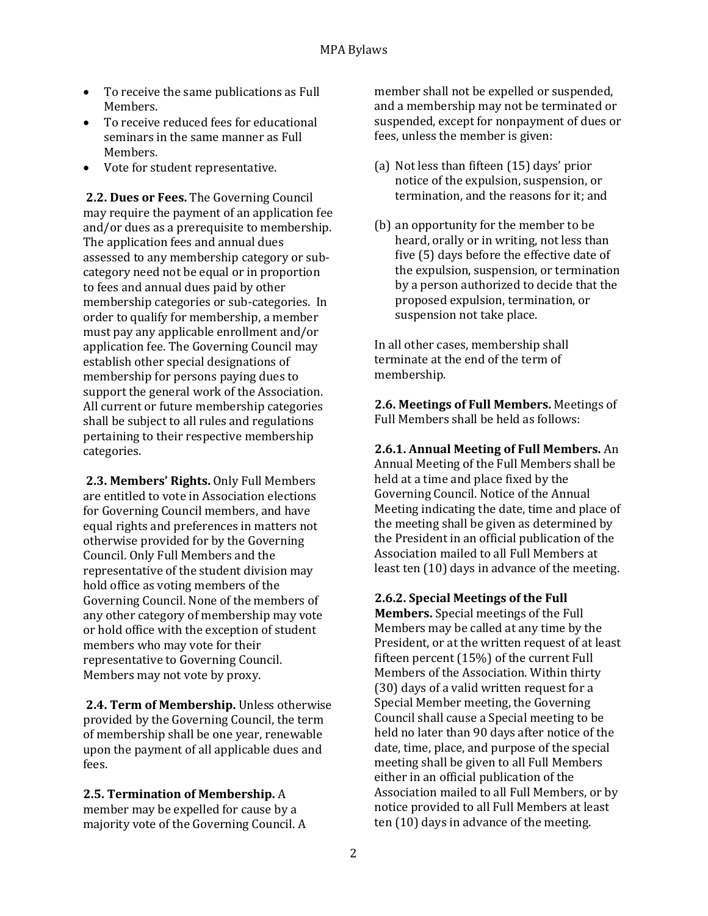- To receive the same publications as Full Members.
- To receive reduced fees for educational seminars in the same manner as Full Members.
- Vote for student representative.

**2.2. Dues or Fees.** The Governing Council may require the payment of an application fee and/or dues as a prerequisite to membership. The application fees and annual dues assessed to any membership category or subcategory need not be equal or in proportion to fees and annual dues paid by other membership categories or sub-categories. In order to qualify for membership, a member must pay any applicable enrollment and/or application fee. The Governing Council may establish other special designations of membership for persons paying dues to support the general work of the Association. All current or future membership categories shall be subject to all rules and regulations pertaining to their respective membership categories.

**2.3. Members' Rights.** Only Full Members are entitled to vote in Association elections for Governing Council members, and have equal rights and preferences in matters not otherwise provided for by the Governing Council. Only Full Members and the representative of the student division may hold office as voting members of the Governing Council. None of the members of any other category of membership may vote or hold office with the exception of student members who may vote for their representative to Governing Council. Members may not vote by proxy.

**2.4. Term of Membership.** Unless otherwise provided by the Governing Council, the term of membership shall be one year, renewable upon the payment of all applicable dues and fees.

**2.5. Termination of Membership.** A member may be expelled for cause by a majority vote of the Governing Council. A member shall not be expelled or suspended, and a membership may not be terminated or suspended, except for nonpayment of dues or fees, unless the member is given:

- (a) Not less than fifteen (15) days' prior notice of the expulsion, suspension, or termination, and the reasons for it; and
- (b) an opportunity for the member to be heard, orally or in writing, not less than five (5) days before the effective date of the expulsion, suspension, or termination by a person authorized to decide that the proposed expulsion, termination, or suspension not take place.

In all other cases, membership shall terminate at the end of the term of membership.

**2.6. Meetings of Full Members.** Meetings of Full Members shall be held as follows:

**2.6.1. Annual Meeting of Full Members.** An Annual Meeting of the Full Members shall be held at a time and place fixed by the Governing Council. Notice of the Annual Meeting indicating the date, time and place of the meeting shall be given as determined by the President in an official publication of the Association mailed to all Full Members at least ten (10) days in advance of the meeting.

**2.6.2. Special Meetings of the Full Members.** Special meetings of the Full Members may be called at any time by the President, or at the written request of at least fifteen percent (15%) of the current Full Members of the Association. Within thirty (30) days of a valid written request for a Special Member meeting, the Governing Council shall cause a Special meeting to be held no later than 90 days after notice of the date, time, place, and purpose of the special meeting shall be given to all Full Members either in an official publication of the Association mailed to all Full Members, or by notice provided to all Full Members at least ten (10) days in advance of the meeting.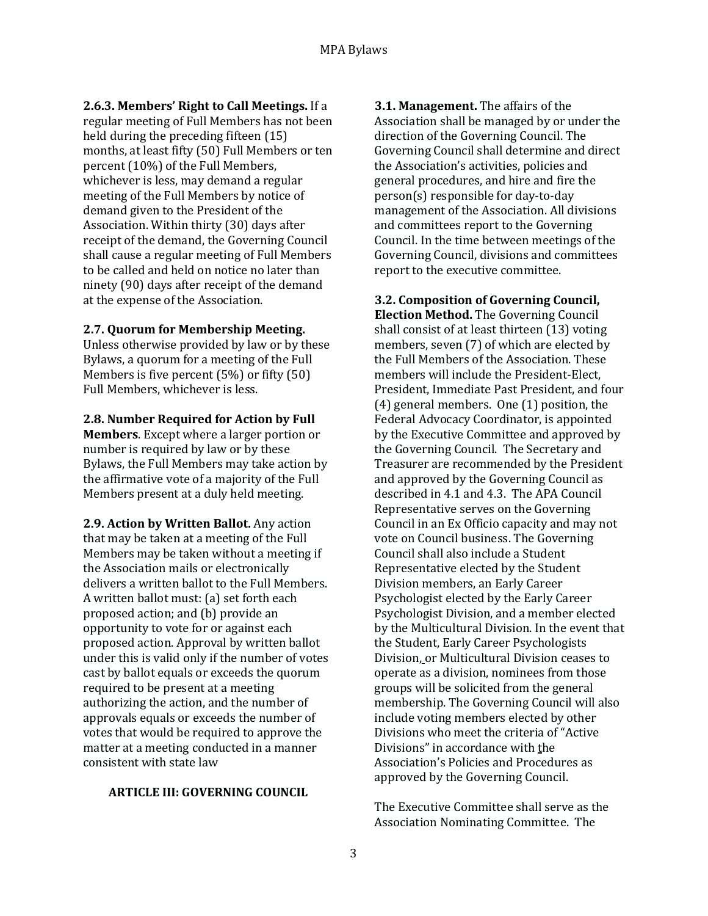**2.6.3. Members' Right to Call Meetings.** If a regular meeting of Full Members has not been held during the preceding fifteen (15) months, at least fifty (50) Full Members or ten percent (10%) of the Full Members, whichever is less, may demand a regular meeting of the Full Members by notice of demand given to the President of the Association. Within thirty (30) days after receipt of the demand, the Governing Council shall cause a regular meeting of Full Members to be called and held on notice no later than ninety (90) days after receipt of the demand at the expense of the Association.

#### **2.7. Quorum for Membership Meeting.**

Unless otherwise provided by law or by these Bylaws, a quorum for a meeting of the Full Members is five percent (5%) or fifty (50) Full Members, whichever is less.

#### **2.8. Number Required for Action by Full**

**Members**. Except where a larger portion or number is required by law or by these Bylaws, the Full Members may take action by the affirmative vote of a majority of the Full Members present at a duly held meeting.

**2.9. Action by Written Ballot.** Any action that may be taken at a meeting of the Full Members may be taken without a meeting if the Association mails or electronically delivers a written ballot to the Full Members. A written ballot must: (a) set forth each proposed action; and (b) provide an opportunity to vote for or against each proposed action. Approval by written ballot under this is valid only if the number of votes cast by ballot equals or exceeds the quorum required to be present at a meeting authorizing the action, and the number of approvals equals or exceeds the number of votes that would be required to approve the matter at a meeting conducted in a manner consistent with state law

### **ARTICLE III: GOVERNING COUNCIL**

**3.1. Management.** The affairs of the Association shall be managed by or under the direction of the Governing Council. The Governing Council shall determine and direct the Association's activities, policies and general procedures, and hire and fire the person(s) responsible for day-to-day management of the Association. All divisions and committees report to the Governing Council. In the time between meetings of the Governing Council, divisions and committees report to the executive committee.

### **3.2. Composition of Governing Council,**

**Election Method.** The Governing Council shall consist of at least thirteen (13) voting members, seven (7) of which are elected by the Full Members of the Association. These members will include the President-Elect, President, Immediate Past President, and four (4) general members. One (1) position, the Federal Advocacy Coordinator, is appointed by the Executive Committee and approved by the Governing Council. The Secretary and Treasurer are recommended by the President and approved by the Governing Council as described in 4.1 and 4.3. The APA Council Representative serves on the Governing Council in an Ex Officio capacity and may not vote on Council business. The Governing Council shall also include a Student Representative elected by the Student Division members, an Early Career Psychologist elected by the Early Career Psychologist Division, and a member elected by the Multicultural Division. In the event that the Student, Early Career Psychologists Division, or Multicultural Division ceases to operate as a division, nominees from those groups will be solicited from the general membership. The Governing Council will also include voting members elected by other Divisions who meet the criteria of "Active Divisions" in accordance with the Association's Policies and Procedures as approved by the Governing Council.

The Executive Committee shall serve as the Association Nominating Committee. The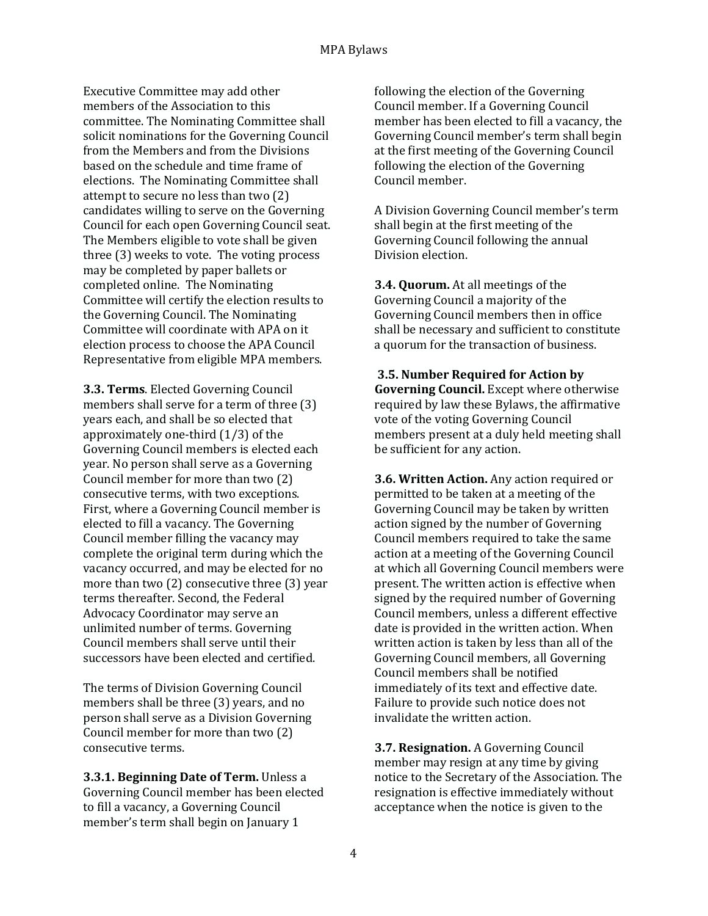Executive Committee may add other members of the Association to this committee. The Nominating Committee shall solicit nominations for the Governing Council from the Members and from the Divisions based on the schedule and time frame of elections. The Nominating Committee shall attempt to secure no less than two (2) candidates willing to serve on the Governing Council for each open Governing Council seat. The Members eligible to vote shall be given three (3) weeks to vote. The voting process may be completed by paper ballets or completed online. The Nominating Committee will certify the election results to the Governing Council. The Nominating Committee will coordinate with APA on it election process to choose the APA Council Representative from eligible MPA members.

**3.3. Terms**. Elected Governing Council members shall serve for a term of three (3) years each, and shall be so elected that approximately one-third (1/3) of the Governing Council members is elected each year. No person shall serve as a Governing Council member for more than two (2) consecutive terms, with two exceptions. First, where a Governing Council member is elected to fill a vacancy. The Governing Council member filling the vacancy may complete the original term during which the vacancy occurred, and may be elected for no more than two (2) consecutive three (3) year terms thereafter. Second, the Federal Advocacy Coordinator may serve an unlimited number of terms. Governing Council members shall serve until their successors have been elected and certified.

The terms of Division Governing Council members shall be three (3) years, and no person shall serve as a Division Governing Council member for more than two (2) consecutive terms.

**3.3.1. Beginning Date of Term.** Unless a Governing Council member has been elected to fill a vacancy, a Governing Council member's term shall begin on January 1

following the election of the Governing Council member. If a Governing Council member has been elected to fill a vacancy, the Governing Council member's term shall begin at the first meeting of the Governing Council following the election of the Governing Council member.

A Division Governing Council member's term shall begin at the first meeting of the Governing Council following the annual Division election.

**3.4. Quorum.** At all meetings of the Governing Council a majority of the Governing Council members then in office shall be necessary and sufficient to constitute a quorum for the transaction of business.

### **3.5. Number Required for Action by Governing Council.** Except where otherwise required by law these Bylaws, the affirmative vote of the voting Governing Council members present at a duly held meeting shall be sufficient for any action.

**3.6. Written Action.** Any action required or permitted to be taken at a meeting of the Governing Council may be taken by written action signed by the number of Governing Council members required to take the same action at a meeting of the Governing Council at which all Governing Council members were present. The written action is effective when signed by the required number of Governing Council members, unless a different effective date is provided in the written action. When written action is taken by less than all of the Governing Council members, all Governing Council members shall be notified immediately of its text and effective date. Failure to provide such notice does not invalidate the written action.

**3.7. Resignation.** A Governing Council member may resign at any time by giving notice to the Secretary of the Association. The resignation is effective immediately without acceptance when the notice is given to the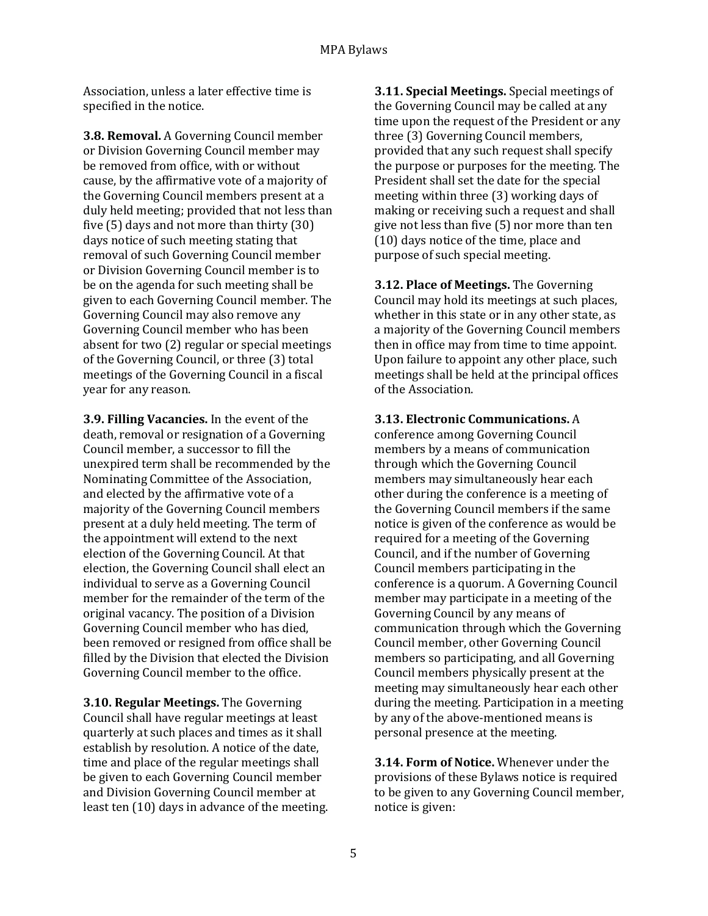Association, unless a later effective time is specified in the notice.

**3.8. Removal.** A Governing Council member or Division Governing Council member may be removed from office, with or without cause, by the affirmative vote of a majority of the Governing Council members present at a duly held meeting; provided that not less than five (5) days and not more than thirty (30) days notice of such meeting stating that removal of such Governing Council member or Division Governing Council member is to be on the agenda for such meeting shall be given to each Governing Council member. The Governing Council may also remove any Governing Council member who has been absent for two (2) regular or special meetings of the Governing Council, or three (3) total meetings of the Governing Council in a fiscal year for any reason.

**3.9. Filling Vacancies.** In the event of the death, removal or resignation of a Governing Council member, a successor to fill the unexpired term shall be recommended by the Nominating Committee of the Association, and elected by the affirmative vote of a majority of the Governing Council members present at a duly held meeting. The term of the appointment will extend to the next election of the Governing Council. At that election, the Governing Council shall elect an individual to serve as a Governing Council member for the remainder of the term of the original vacancy. The position of a Division Governing Council member who has died, been removed or resigned from office shall be filled by the Division that elected the Division Governing Council member to the office.

**3.10. Regular Meetings.** The Governing Council shall have regular meetings at least quarterly at such places and times as it shall establish by resolution. A notice of the date, time and place of the regular meetings shall be given to each Governing Council member and Division Governing Council member at least ten (10) days in advance of the meeting. **3.11. Special Meetings.** Special meetings of the Governing Council may be called at any time upon the request of the President or any three (3) Governing Council members, provided that any such request shall specify the purpose or purposes for the meeting. The President shall set the date for the special meeting within three (3) working days of making or receiving such a request and shall give not less than five (5) nor more than ten (10) days notice of the time, place and purpose of such special meeting.

**3.12. Place of Meetings.** The Governing Council may hold its meetings at such places, whether in this state or in any other state, as a majority of the Governing Council members then in office may from time to time appoint. Upon failure to appoint any other place, such meetings shall be held at the principal offices of the Association.

**3.13. Electronic Communications.** A conference among Governing Council members by a means of communication through which the Governing Council members may simultaneously hear each other during the conference is a meeting of the Governing Council members if the same notice is given of the conference as would be required for a meeting of the Governing Council, and if the number of Governing Council members participating in the conference is a quorum. A Governing Council member may participate in a meeting of the Governing Council by any means of communication through which the Governing Council member, other Governing Council members so participating, and all Governing Council members physically present at the meeting may simultaneously hear each other during the meeting. Participation in a meeting by any of the above-mentioned means is personal presence at the meeting.

**3.14. Form of Notice.** Whenever under the provisions of these Bylaws notice is required to be given to any Governing Council member, notice is given: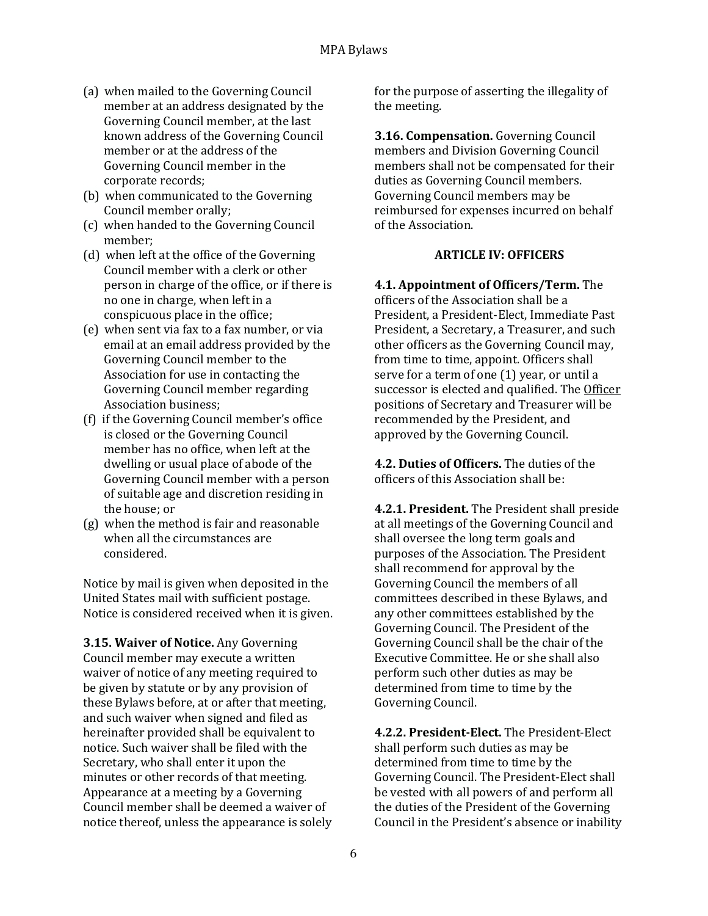- (a) when mailed to the Governing Council member at an address designated by the Governing Council member, at the last known address of the Governing Council member or at the address of the Governing Council member in the corporate records;
- (b) when communicated to the Governing Council member orally;
- (c) when handed to the Governing Council member;
- (d) when left at the office of the Governing Council member with a clerk or other person in charge of the office, or if there is no one in charge, when left in a conspicuous place in the office;
- (e) when sent via fax to a fax number, or via email at an email address provided by the Governing Council member to the Association for use in contacting the Governing Council member regarding Association business;
- (f) if the Governing Council member's office is closed or the Governing Council member has no office, when left at the dwelling or usual place of abode of the Governing Council member with a person of suitable age and discretion residing in the house; or
- (g) when the method is fair and reasonable when all the circumstances are considered.

Notice by mail is given when deposited in the United States mail with sufficient postage. Notice is considered received when it is given.

**3.15. Waiver of Notice.** Any Governing Council member may execute a written waiver of notice of any meeting required to be given by statute or by any provision of these Bylaws before, at or after that meeting, and such waiver when signed and filed as hereinafter provided shall be equivalent to notice. Such waiver shall be filed with the Secretary, who shall enter it upon the minutes or other records of that meeting. Appearance at a meeting by a Governing Council member shall be deemed a waiver of notice thereof, unless the appearance is solely for the purpose of asserting the illegality of the meeting.

**3.16. Compensation.** Governing Council members and Division Governing Council members shall not be compensated for their duties as Governing Council members. Governing Council members may be reimbursed for expenses incurred on behalf of the Association.

## **ARTICLE IV: OFFICERS**

**4.1. Appointment of Officers/Term.** The officers of the Association shall be a President, a President-Elect, Immediate Past President, a Secretary, a Treasurer, and such other officers as the Governing Council may, from time to time, appoint. Officers shall serve for a term of one (1) year, or until a successor is elected and qualified. The Officer positions of Secretary and Treasurer will be recommended by the President, and approved by the Governing Council.

**4.2. Duties of Officers.** The duties of the officers of this Association shall be:

**4.2.1. President.** The President shall preside at all meetings of the Governing Council and shall oversee the long term goals and purposes of the Association. The President shall recommend for approval by the Governing Council the members of all committees described in these Bylaws, and any other committees established by the Governing Council. The President of the Governing Council shall be the chair of the Executive Committee. He or she shall also perform such other duties as may be determined from time to time by the Governing Council.

**4.2.2. President-Elect.** The President-Elect shall perform such duties as may be determined from time to time by the Governing Council. The President-Elect shall be vested with all powers of and perform all the duties of the President of the Governing Council in the President's absence or inability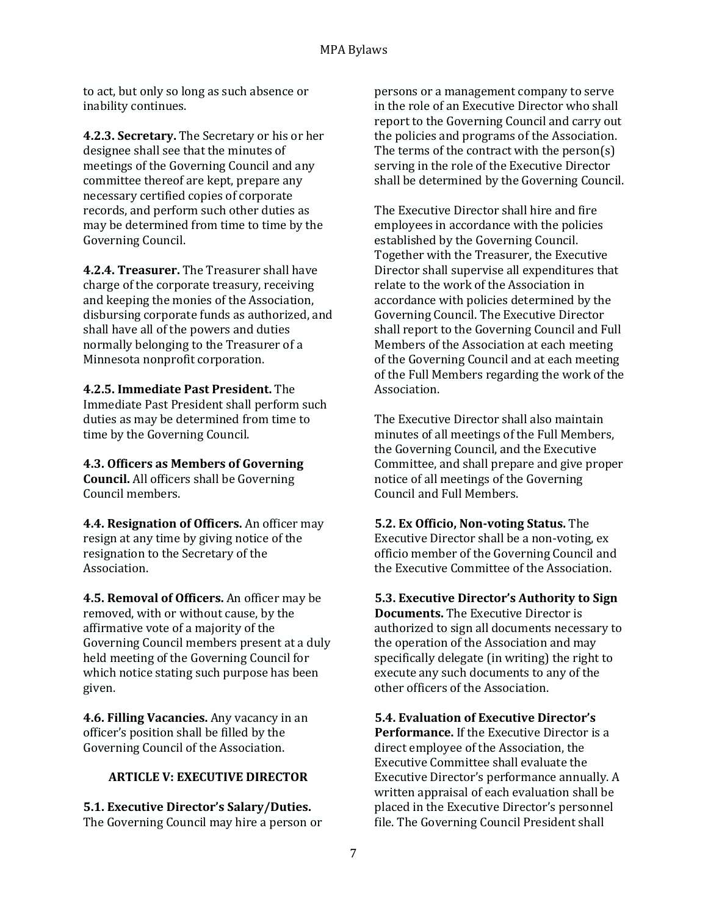to act, but only so long as such absence or inability continues.

**4.2.3. Secretary.** The Secretary or his or her designee shall see that the minutes of meetings of the Governing Council and any committee thereof are kept, prepare any necessary certified copies of corporate records, and perform such other duties as may be determined from time to time by the Governing Council.

**4.2.4. Treasurer.** The Treasurer shall have charge of the corporate treasury, receiving and keeping the monies of the Association, disbursing corporate funds as authorized, and shall have all of the powers and duties normally belonging to the Treasurer of a Minnesota nonprofit corporation.

**4.2.5. Immediate Past President.** The Immediate Past President shall perform such duties as may be determined from time to time by the Governing Council.

**4.3. Officers as Members of Governing Council.** All officers shall be Governing Council members.

**4.4. Resignation of Officers.** An officer may resign at any time by giving notice of the resignation to the Secretary of the Association.

**4.5. Removal of Officers.** An officer may be removed, with or without cause, by the affirmative vote of a majority of the Governing Council members present at a duly held meeting of the Governing Council for which notice stating such purpose has been given.

**4.6. Filling Vacancies.** Any vacancy in an officer's position shall be filled by the Governing Council of the Association.

### **ARTICLE V: EXECUTIVE DIRECTOR**

**5.1. Executive Director's Salary/Duties.** The Governing Council may hire a person or persons or a management company to serve in the role of an Executive Director who shall report to the Governing Council and carry out the policies and programs of the Association. The terms of the contract with the person(s) serving in the role of the Executive Director shall be determined by the Governing Council.

The Executive Director shall hire and fire employees in accordance with the policies established by the Governing Council. Together with the Treasurer, the Executive Director shall supervise all expenditures that relate to the work of the Association in accordance with policies determined by the Governing Council. The Executive Director shall report to the Governing Council and Full Members of the Association at each meeting of the Governing Council and at each meeting of the Full Members regarding the work of the Association.

The Executive Director shall also maintain minutes of all meetings of the Full Members, the Governing Council, and the Executive Committee, and shall prepare and give proper notice of all meetings of the Governing Council and Full Members.

**5.2. Ex Officio, Non-voting Status.** The Executive Director shall be a non-voting, ex officio member of the Governing Council and the Executive Committee of the Association.

**5.3. Executive Director's Authority to Sign Documents.** The Executive Director is authorized to sign all documents necessary to the operation of the Association and may specifically delegate (in writing) the right to execute any such documents to any of the other officers of the Association.

**5.4. Evaluation of Executive Director's Performance.** If the Executive Director is a direct employee of the Association, the Executive Committee shall evaluate the Executive Director's performance annually. A written appraisal of each evaluation shall be placed in the Executive Director's personnel file. The Governing Council President shall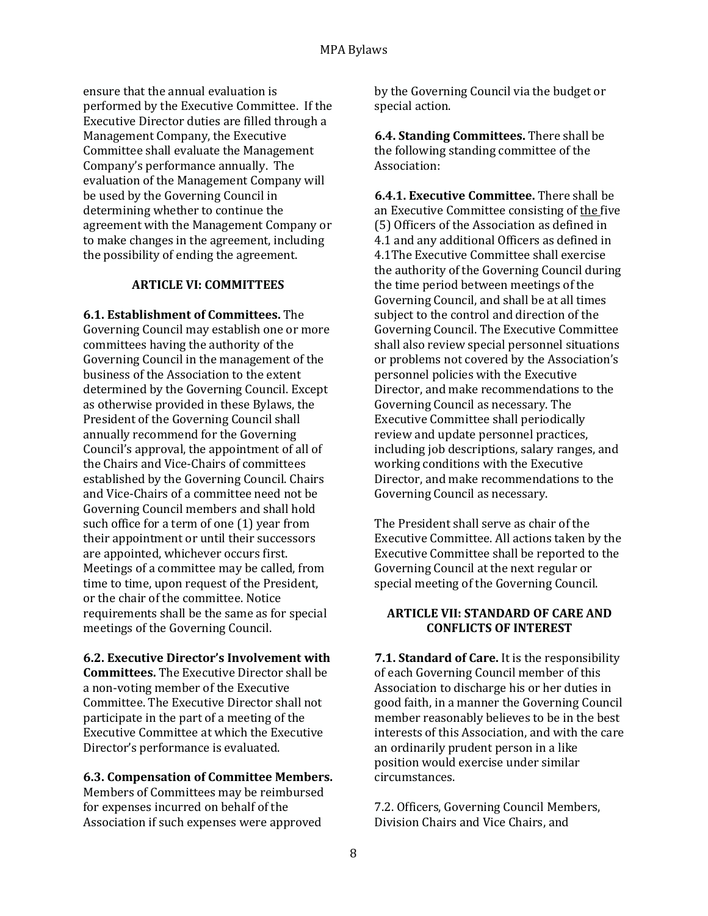ensure that the annual evaluation is performed by the Executive Committee. If the Executive Director duties are filled through a Management Company, the Executive Committee shall evaluate the Management Company's performance annually. The evaluation of the Management Company will be used by the Governing Council in determining whether to continue the agreement with the Management Company or to make changes in the agreement, including the possibility of ending the agreement.

### **ARTICLE VI: COMMITTEES**

**6.1. Establishment of Committees.** The Governing Council may establish one or more committees having the authority of the Governing Council in the management of the business of the Association to the extent determined by the Governing Council. Except as otherwise provided in these Bylaws, the President of the Governing Council shall annually recommend for the Governing Council's approval, the appointment of all of the Chairs and Vice-Chairs of committees established by the Governing Council. Chairs and Vice-Chairs of a committee need not be Governing Council members and shall hold such office for a term of one (1) year from their appointment or until their successors are appointed, whichever occurs first. Meetings of a committee may be called, from time to time, upon request of the President, or the chair of the committee. Notice requirements shall be the same as for special meetings of the Governing Council.

### **6.2. Executive Director's Involvement with**

**Committees.** The Executive Director shall be a non-voting member of the Executive Committee. The Executive Director shall not participate in the part of a meeting of the Executive Committee at which the Executive Director's performance is evaluated.

### **6.3. Compensation of Committee Members.**

Members of Committees may be reimbursed for expenses incurred on behalf of the Association if such expenses were approved

by the Governing Council via the budget or special action.

**6.4. Standing Committees.** There shall be the following standing committee of the Association:

**6.4.1. Executive Committee.** There shall be an Executive Committee consisting of the five (5) Officers of the Association as defined in 4.1 and any additional Officers as defined in 4.1The Executive Committee shall exercise the authority of the Governing Council during the time period between meetings of the Governing Council, and shall be at all times subject to the control and direction of the Governing Council. The Executive Committee shall also review special personnel situations or problems not covered by the Association's personnel policies with the Executive Director, and make recommendations to the Governing Council as necessary. The Executive Committee shall periodically review and update personnel practices, including job descriptions, salary ranges, and working conditions with the Executive Director, and make recommendations to the Governing Council as necessary.

The President shall serve as chair of the Executive Committee. All actions taken by the Executive Committee shall be reported to the Governing Council at the next regular or special meeting of the Governing Council.

### **ARTICLE VII: STANDARD OF CARE AND CONFLICTS OF INTEREST**

**7.1. Standard of Care.** It is the responsibility of each Governing Council member of this Association to discharge his or her duties in good faith, in a manner the Governing Council member reasonably believes to be in the best interests of this Association, and with the care an ordinarily prudent person in a like position would exercise under similar circumstances.

7.2. Officers, Governing Council Members, Division Chairs and Vice Chairs, and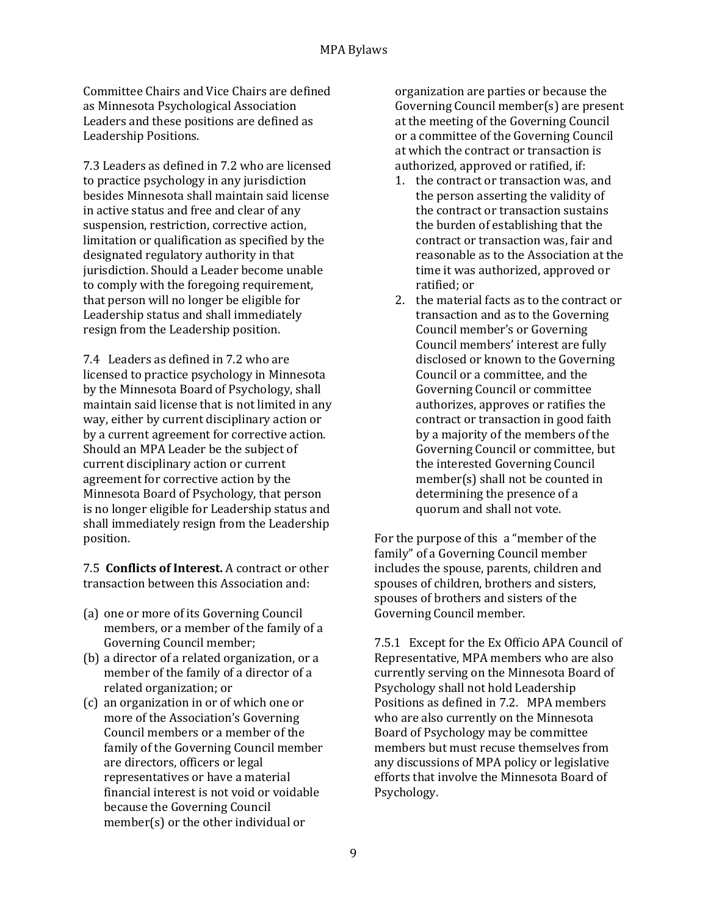Committee Chairs and Vice Chairs are defined as Minnesota Psychological Association Leaders and these positions are defined as Leadership Positions.

7.3 Leaders as defined in 7.2 who are licensed to practice psychology in any jurisdiction besides Minnesota shall maintain said license in active status and free and clear of any suspension, restriction, corrective action, limitation or qualification as specified by the designated regulatory authority in that jurisdiction. Should a Leader become unable to comply with the foregoing requirement, that person will no longer be eligible for Leadership status and shall immediately resign from the Leadership position.

7.4 Leaders as defined in 7.2 who are licensed to practice psychology in Minnesota by the Minnesota Board of Psychology, shall maintain said license that is not limited in any way, either by current disciplinary action or by a current agreement for corrective action. Should an MPA Leader be the subject of current disciplinary action or current agreement for corrective action by the Minnesota Board of Psychology, that person is no longer eligible for Leadership status and shall immediately resign from the Leadership position.

7.5 **Conflicts of Interest.** A contract or other transaction between this Association and:

- (a) one or more of its Governing Council members, or a member of the family of a Governing Council member;
- (b) a director of a related organization, or a member of the family of a director of a related organization; or
- (c) an organization in or of which one or more of the Association's Governing Council members or a member of the family of the Governing Council member are directors, officers or legal representatives or have a material financial interest is not void or voidable because the Governing Council member(s) or the other individual or

organization are parties or because the Governing Council member(s) are present at the meeting of the Governing Council or a committee of the Governing Council at which the contract or transaction is authorized, approved or ratified, if:

- 1. the contract or transaction was, and the person asserting the validity of the contract or transaction sustains the burden of establishing that the contract or transaction was, fair and reasonable as to the Association at the time it was authorized, approved or ratified; or
- 2. the material facts as to the contract or transaction and as to the Governing Council member's or Governing Council members' interest are fully disclosed or known to the Governing Council or a committee, and the Governing Council or committee authorizes, approves or ratifies the contract or transaction in good faith by a majority of the members of the Governing Council or committee, but the interested Governing Council member(s) shall not be counted in determining the presence of a quorum and shall not vote.

For the purpose of this a "member of the family" of a Governing Council member includes the spouse, parents, children and spouses of children, brothers and sisters, spouses of brothers and sisters of the Governing Council member.

7.5.1 Except for the Ex Officio APA Council of Representative, MPA members who are also currently serving on the Minnesota Board of Psychology shall not hold Leadership Positions as defined in 7.2. MPA members who are also currently on the Minnesota Board of Psychology may be committee members but must recuse themselves from any discussions of MPA policy or legislative efforts that involve the Minnesota Board of Psychology.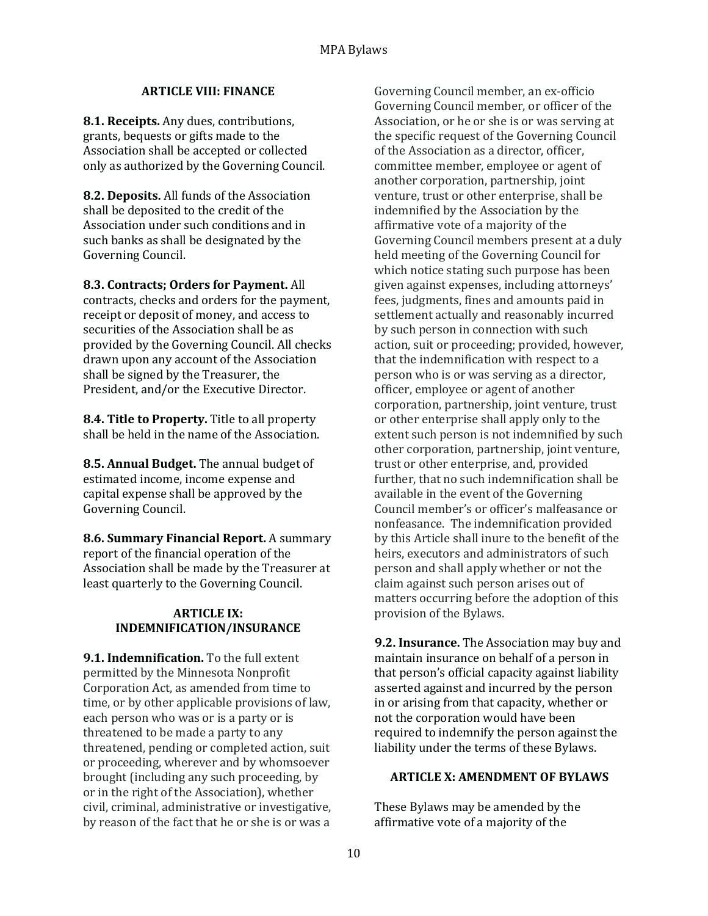### **ARTICLE VIII: FINANCE**

**8.1. Receipts.** Any dues, contributions, grants, bequests or gifts made to the Association shall be accepted or collected only as authorized by the Governing Council.

**8.2. Deposits.** All funds of the Association shall be deposited to the credit of the Association under such conditions and in such banks as shall be designated by the Governing Council.

**8.3. Contracts; Orders for Payment.** All contracts, checks and orders for the payment, receipt or deposit of money, and access to securities of the Association shall be as provided by the Governing Council. All checks drawn upon any account of the Association shall be signed by the Treasurer, the President, and/or the Executive Director.

**8.4. Title to Property.** Title to all property shall be held in the name of the Association.

**8.5. Annual Budget.** The annual budget of estimated income, income expense and capital expense shall be approved by the Governing Council.

**8.6. Summary Financial Report.** A summary report of the financial operation of the Association shall be made by the Treasurer at least quarterly to the Governing Council.

### **ARTICLE IX: INDEMNIFICATION/INSURANCE**

**9.1. Indemnification.** To the full extent permitted by the Minnesota Nonprofit Corporation Act, as amended from time to time, or by other applicable provisions of law, each person who was or is a party or is threatened to be made a party to any threatened, pending or completed action, suit or proceeding, wherever and by whomsoever brought (including any such proceeding, by or in the right of the Association), whether civil, criminal, administrative or investigative, by reason of the fact that he or she is or was a

Governing Council member, an ex-officio Governing Council member, or officer of the Association, or he or she is or was serving at the specific request of the Governing Council of the Association as a director, officer, committee member, employee or agent of another corporation, partnership, joint venture, trust or other enterprise, shall be indemnified by the Association by the affirmative vote of a majority of the Governing Council members present at a duly held meeting of the Governing Council for which notice stating such purpose has been given against expenses, including attorneys' fees, judgments, fines and amounts paid in settlement actually and reasonably incurred by such person in connection with such action, suit or proceeding; provided, however, that the indemnification with respect to a person who is or was serving as a director, officer, employee or agent of another corporation, partnership, joint venture, trust or other enterprise shall apply only to the extent such person is not indemnified by such other corporation, partnership, joint venture, trust or other enterprise, and, provided further, that no such indemnification shall be available in the event of the Governing Council member's or officer's malfeasance or nonfeasance. The indemnification provided by this Article shall inure to the benefit of the heirs, executors and administrators of such person and shall apply whether or not the claim against such person arises out of matters occurring before the adoption of this provision of the Bylaws.

**9.2. Insurance.** The Association may buy and maintain insurance on behalf of a person in that person's official capacity against liability asserted against and incurred by the person in or arising from that capacity, whether or not the corporation would have been required to indemnify the person against the liability under the terms of these Bylaws.

#### **ARTICLE X: AMENDMENT OF BYLAWS**

These Bylaws may be amended by the affirmative vote of a majority of the